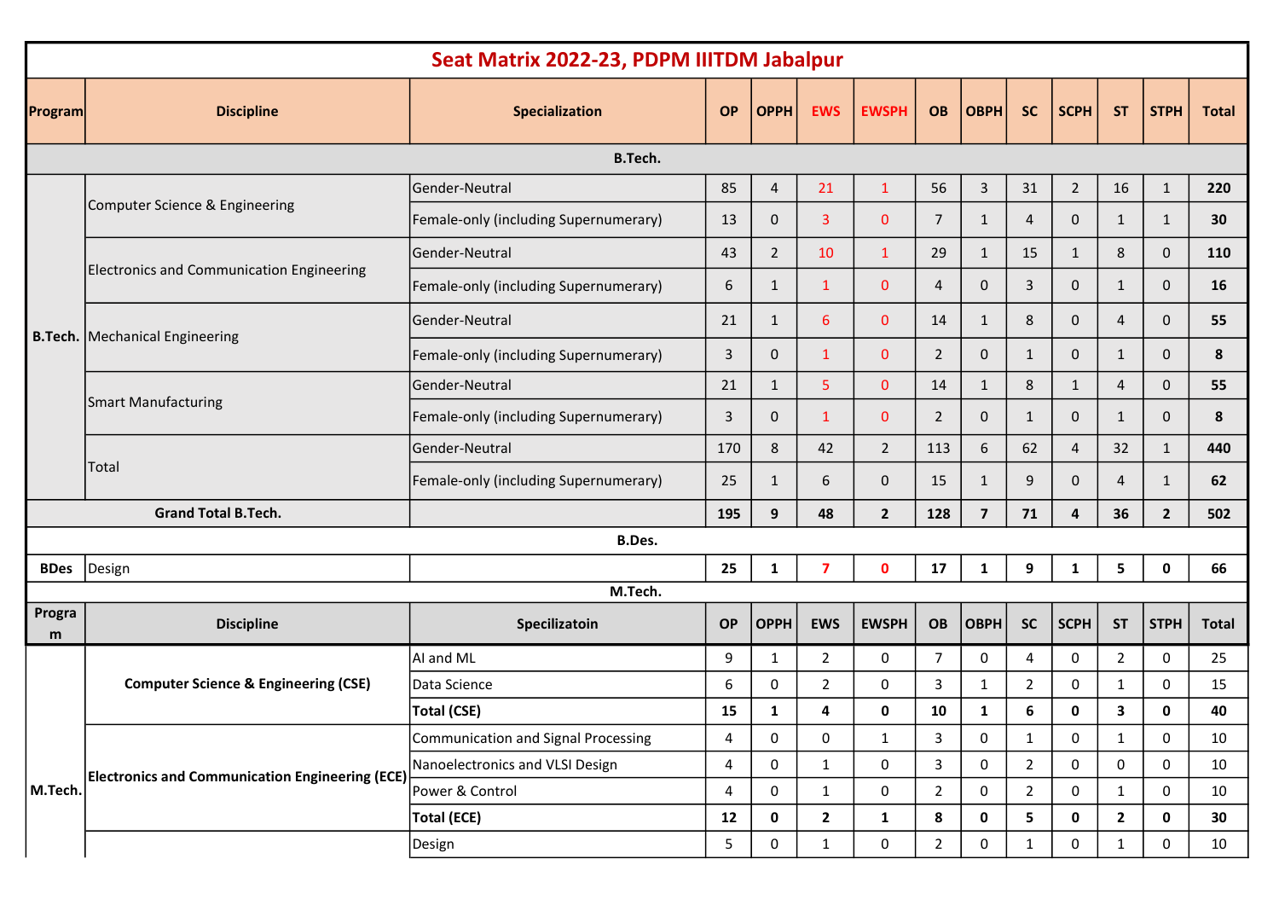|                                              | Seat Matrix 2022-23, PDPM IIITDM Jabalpur              |                                       |           |              |                         |                |                |                |                |                |                |                |                 |
|----------------------------------------------|--------------------------------------------------------|---------------------------------------|-----------|--------------|-------------------------|----------------|----------------|----------------|----------------|----------------|----------------|----------------|-----------------|
|                                              | <b>Discipline</b>                                      | Specialization                        | <b>OP</b> | <b>OPPH</b>  | <b>EWS</b>              | <b>EWSPH</b>   | <b>OB</b>      | <b>OBPH</b>    | <b>SC</b>      | <b>SCPH</b>    | <b>ST</b>      | <b>STPH</b>    | <b>Total</b>    |
|                                              |                                                        |                                       |           |              |                         |                |                |                |                |                |                |                |                 |
| <b>Program</b><br><b>BDes</b><br>Progra<br>m | Computer Science & Engineering                         | Gender-Neutral                        | 85        | 4            | 21                      | $\mathbf{1}$   | 56             | 3              | 31             | $\overline{2}$ | 16             | $\mathbf{1}$   | 220             |
|                                              |                                                        | Female-only (including Supernumerary) | 13        | $\mathbf{0}$ | $\mathbf{3}$            | $\mathbf{0}$   | $\overline{7}$ | $\mathbf{1}$   | $\overline{4}$ | $\mathbf 0$    | $\mathbf{1}$   | $\mathbf{1}$   | 30              |
|                                              |                                                        | Gender-Neutral                        | 43        | $2^{\circ}$  | 10                      | $\mathbf{1}$   | 29             | $\mathbf{1}$   | 15             | 1              | 8              | $\mathbf 0$    | 110             |
|                                              | <b>Electronics and Communication Engineering</b>       | Female-only (including Supernumerary) | 6         | 1            | $\mathbf{1}$            | $\mathbf{0}$   | 4              | $\mathbf{0}$   | 3              | $\mathbf 0$    | $\mathbf{1}$   | $\mathbf{0}$   | 16              |
|                                              | <b>B.Tech.</b> Mechanical Engineering                  | Gender-Neutral                        | 21        | $\mathbf{1}$ | 6                       | $\mathbf{0}$   | 14             | $\mathbf{1}$   | 8              | $\mathbf{0}$   | 4              | $\mathbf{0}$   | 55              |
|                                              |                                                        | Female-only (including Supernumerary) | 3         | $\mathbf{0}$ | $\mathbf{1}$            | $\mathbf{0}$   | $\overline{2}$ | $\mathbf{0}$   | $\mathbf{1}$   | $\mathbf{0}$   | $\mathbf{1}$   | 0              | 8               |
|                                              | Smart Manufacturing                                    | Gender-Neutral                        | 21        | $\mathbf{1}$ | 5                       | $\mathbf{0}$   | 14             | $\mathbf{1}$   | 8              | $\mathbf{1}$   | 4              | $\mathbf{0}$   | 55              |
|                                              |                                                        | Female-only (including Supernumerary) | 3         | $\mathbf{0}$ | $\mathbf{1}$            | $\mathbf{0}$   | $\overline{2}$ | $\mathbf{0}$   | 1              | $\mathbf 0$    | $\mathbf{1}$   | $\mathbf 0$    | 8               |
|                                              | Total                                                  | Gender-Neutral                        | 170       | 8            | 42                      | $\overline{2}$ | 113            | 6              | 62             | $\overline{4}$ | 32             | $\mathbf{1}$   | 440             |
|                                              |                                                        | Female-only (including Supernumerary) | 25        | 1            | 6                       | $\mathbf 0$    | 15             | 1              | 9              | $\mathbf{0}$   | 4              | $\mathbf{1}$   | 62              |
|                                              | <b>Grand Total B.Tech.</b>                             |                                       | 195       | 9            | 48                      | $\overline{2}$ | 128            | $\overline{7}$ | 71             | 4              | 36             | $\overline{2}$ | 502             |
|                                              |                                                        | B.Des.                                |           |              |                         |                |                |                |                |                |                |                |                 |
|                                              | Design                                                 |                                       | 25        | $\mathbf{1}$ | $\overline{\mathbf{z}}$ | $\mathbf 0$    | 17             | 1              | 9              | 1              | 5              | $\mathbf{0}$   | 66              |
|                                              |                                                        | M.Tech.                               |           |              |                         |                |                |                |                |                |                |                |                 |
|                                              | <b>Discipline</b>                                      | Specilizatoin                         | <b>OP</b> | <b>OPPH</b>  | <b>EWS</b>              | <b>EWSPH</b>   | <b>OB</b>      | <b>OBPH</b>    | <b>SC</b>      | <b>SCPH</b>    | <b>ST</b>      | <b>STPH</b>    | <b>Total</b>    |
|                                              | <b>Computer Science &amp; Engineering (CSE)</b>        | AI and ML                             | 9         | 1            | $\overline{2}$          | 0              | $\overline{7}$ | 0              | 4              | 0              | $\overline{2}$ | 0              | 25              |
|                                              |                                                        | Data Science                          | 6         | 0            | $\overline{2}$          | 0              | 3              | 1              | $\overline{2}$ | 0              | 1              | 0              | 15              |
|                                              |                                                        | <b>Total (CSE)</b>                    | 15        | 1            | 4                       | $\mathbf 0$    | 10             | 1              | 6              | $\mathbf 0$    | 3              | 0              | 40              |
|                                              | <b>Electronics and Communication Engineering (ECE)</b> | Communication and Signal Processing   | 4         | 0            | 0                       | $\mathbf{1}$   | 3              | 0              | $\mathbf{1}$   | $\mathbf 0$    | $\mathbf{1}$   | $\mathbf 0$    | 10              |
|                                              |                                                        | Nanoelectronics and VLSI Design       | 4         | 0            | $\mathbf{1}$            | 0              | $\mathbf{3}$   | $\mathbf 0$    | $\overline{2}$ | 0              | 0              | 0              | 10              |
| M.Tech.                                      |                                                        | Power & Control                       | 4         | 0            | $\mathbf{1}$            | 0              | $\overline{2}$ | 0              | $\overline{2}$ | 0              | $\mathbf{1}$   | 0              | 10              |
|                                              |                                                        | <b>Total (ECE)</b>                    | 12        | 0            | $\mathbf{2}$            | $\mathbf{1}$   | 8              | 0              | 5              | 0              | $\mathbf{2}$   | 0              | 30              |
|                                              |                                                        | Design                                | 5         | 0            | $\mathbf{1}$            | 0              | $\overline{2}$ | 0              | 1              | 0              | $\mathbf{1}$   | 0              | 10 <sub>1</sub> |